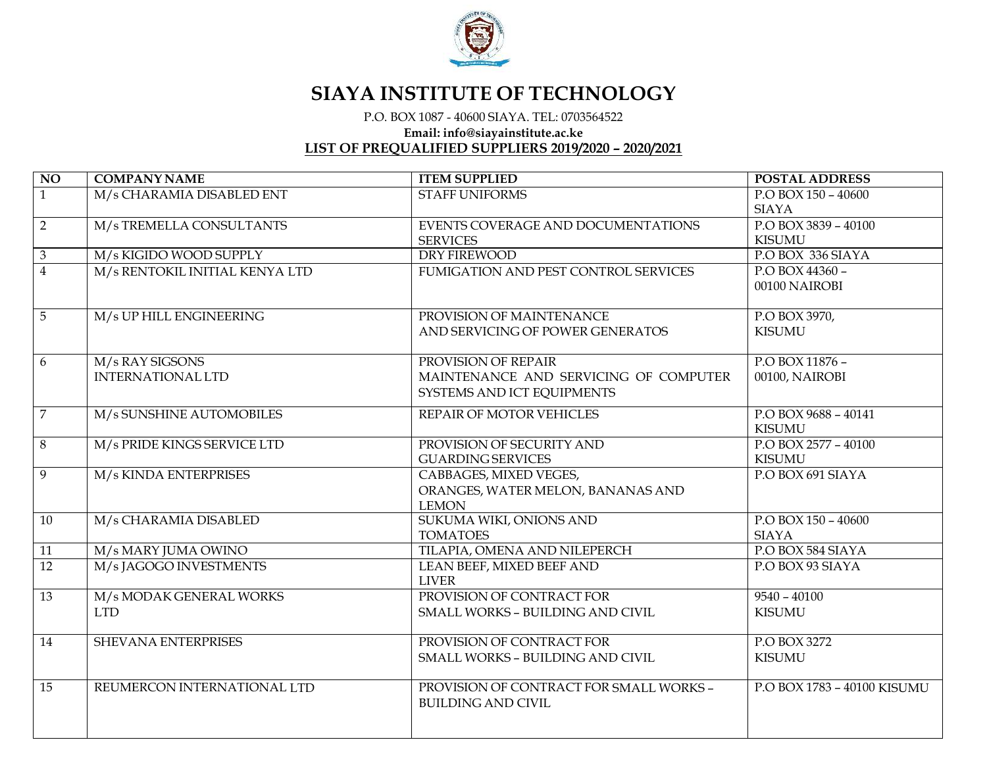

## **SIAYA INSTITUTE OF TECHNOLOGY**

P.O. BOX <sup>1087</sup> - <sup>40600</sup> SIAYA. TEL: <sup>0703564522</sup>

**Email: info@siayainstitute.ac.ke**

## **LIST OF PREQUALIFIED SUPPLIERS 2019/2020 – 2020/2021**

| NO              | <b>COMPANY NAME</b>            | <b>ITEM SUPPLIED</b>                    | POSTAL ADDRESS              |
|-----------------|--------------------------------|-----------------------------------------|-----------------------------|
| $\overline{1}$  | M/s CHARAMIA DISABLED ENT      | <b>STAFF UNIFORMS</b>                   | P.O BOX 150 - 40600         |
|                 |                                |                                         | <b>SIAYA</b>                |
| $\overline{2}$  | M/s TREMELLA CONSULTANTS       | EVENTS COVERAGE AND DOCUMENTATIONS      | P.O BOX 3839 - 40100        |
|                 |                                | <b>SERVICES</b>                         | KISUMU                      |
| $\overline{3}$  | M/s KIGIDO WOOD SUPPLY         | <b>DRY FIREWOOD</b>                     | P.O BOX 336 SIAYA           |
| $\overline{4}$  | M/s RENTOKIL INITIAL KENYA LTD | FUMIGATION AND PEST CONTROL SERVICES    | P.O BOX 44360 -             |
|                 |                                |                                         | 00100 NAIROBI               |
|                 |                                |                                         |                             |
| $\overline{5}$  | M/s UP HILL ENGINEERING        | PROVISION OF MAINTENANCE                | P.O BOX 3970,               |
|                 |                                | AND SERVICING OF POWER GENERATOS        | <b>KISUMU</b>               |
|                 |                                |                                         |                             |
| 6               | M/s RAY SIGSONS                | PROVISION OF REPAIR                     | P.O BOX 11876 -             |
|                 | <b>INTERNATIONAL LTD</b>       | MAINTENANCE AND SERVICING OF COMPUTER   | 00100, NAIROBI              |
|                 |                                | SYSTEMS AND ICT EQUIPMENTS              |                             |
| $\overline{7}$  | M/s SUNSHINE AUTOMOBILES       | REPAIR OF MOTOR VEHICLES                | P.O BOX 9688 - 40141        |
|                 |                                |                                         | <b>KISUMU</b>               |
| $8\,$           | M/s PRIDE KINGS SERVICE LTD    | PROVISION OF SECURITY AND               | $P. O BOX 2577 - 40100$     |
|                 |                                | <b>GUARDING SERVICES</b>                | <b>KISUMU</b>               |
| 9               | M/s KINDA ENTERPRISES          | CABBAGES, MIXED VEGES,                  | P.O BOX 691 SIAYA           |
|                 |                                | ORANGES, WATER MELON, BANANAS AND       |                             |
|                 |                                | <b>LEMON</b>                            |                             |
| 10              | M/s CHARAMIA DISABLED          | SUKUMA WIKI, ONIONS AND                 | P.O BOX 150 - 40600         |
|                 |                                | <b>TOMATOES</b>                         | <b>SIAYA</b>                |
| $\overline{11}$ | M/s MARY JUMA OWINO            | TILAPIA, OMENA AND NILEPERCH            | P.O BOX 584 SIAYA           |
| $\overline{12}$ | M/s JAGOGO INVESTMENTS         | LEAN BEEF, MIXED BEEF AND               | P.O BOX 93 SIAYA            |
|                 |                                | <b>LIVER</b>                            |                             |
| $\overline{13}$ | M/s MODAK GENERAL WORKS        | PROVISION OF CONTRACT FOR               | $9540 - 40100$              |
|                 | <b>LTD</b>                     | SMALL WORKS - BUILDING AND CIVIL        | <b>KISUMU</b>               |
|                 |                                |                                         |                             |
| 14              | <b>SHEVANA ENTERPRISES</b>     | PROVISION OF CONTRACT FOR               | P.O BOX 3272                |
|                 |                                | SMALL WORKS - BUILDING AND CIVIL        | <b>KISUMU</b>               |
|                 |                                |                                         |                             |
| $\overline{15}$ | REUMERCON INTERNATIONAL LTD    | PROVISION OF CONTRACT FOR SMALL WORKS - | P.O BOX 1783 - 40100 KISUMU |
|                 |                                | <b>BUILDING AND CIVIL</b>               |                             |
|                 |                                |                                         |                             |
|                 |                                |                                         |                             |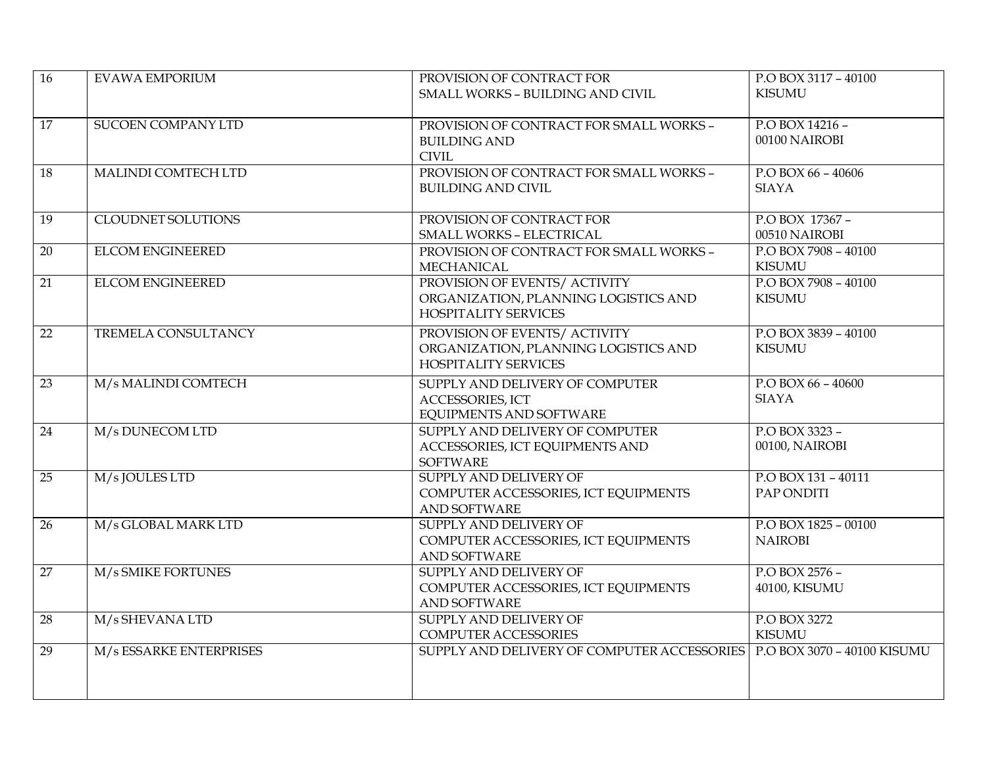| $\overline{16}$ | <b>EVAWA EMPORIUM</b>     | PROVISION OF CONTRACT FOR                                                                            | P.O BOX 3117 - 40100                   |
|-----------------|---------------------------|------------------------------------------------------------------------------------------------------|----------------------------------------|
|                 |                           | SMALL WORKS - BUILDING AND CIVIL                                                                     | <b>KISUMU</b>                          |
| 17              | <b>SUCOEN COMPANY LTD</b> | PROVISION OF CONTRACT FOR SMALL WORKS -<br><b>BUILDING AND</b><br><b>CIVIL</b>                       | P.O BOX 14216 -<br>00100 NAIROBI       |
| 18              | MALINDI COMTECH LTD       | PROVISION OF CONTRACT FOR SMALL WORKS -<br><b>BUILDING AND CIVIL</b>                                 | P.O BOX 66 - 40606<br><b>SIAYA</b>     |
| $\overline{19}$ | <b>CLOUDNET SOLUTIONS</b> | PROVISION OF CONTRACT FOR<br>SMALL WORKS - ELECTRICAL                                                | P.O BOX 17367 -<br>00510 NAIROBI       |
| $\overline{20}$ | <b>ELCOM ENGINEERED</b>   | PROVISION OF CONTRACT FOR SMALL WORKS -<br>MECHANICAL                                                | P.O BOX 7908 - 40100<br><b>KISUMU</b>  |
| 21              | <b>ELCOM ENGINEERED</b>   | PROVISION OF EVENTS/ ACTIVITY<br>ORGANIZATION, PLANNING LOGISTICS AND<br><b>HOSPITALITY SERVICES</b> | P.O BOX 7908 - 40100<br><b>KISUMU</b>  |
| 22              | TREMELA CONSULTANCY       | PROVISION OF EVENTS/ ACTIVITY<br>ORGANIZATION, PLANNING LOGISTICS AND<br><b>HOSPITALITY SERVICES</b> | P.O BOX 3839 - 40100<br><b>KISUMU</b>  |
| $\overline{23}$ | M/s MALINDI COMTECH       | SUPPLY AND DELIVERY OF COMPUTER<br>ACCESSORIES, ICT<br><b>EQUIPMENTS AND SOFTWARE</b>                | P.O BOX 66 - 40600<br><b>SIAYA</b>     |
| 24              | M/s DUNECOM LTD           | SUPPLY AND DELIVERY OF COMPUTER<br>ACCESSORIES, ICT EQUIPMENTS AND<br><b>SOFTWARE</b>                | P.O BOX 3323 -<br>00100, NAIROBI       |
| 25              | M/s JOULES LTD            | SUPPLY AND DELIVERY OF<br>COMPUTER ACCESSORIES, ICT EQUIPMENTS<br><b>AND SOFTWARE</b>                | P.O BOX 131 - 40111<br>PAP ONDITI      |
| $\overline{26}$ | M/s GLOBAL MARK LTD       | SUPPLY AND DELIVERY OF<br>COMPUTER ACCESSORIES, ICT EQUIPMENTS<br>AND SOFTWARE                       | P.O BOX 1825 - 00100<br><b>NAIROBI</b> |
| $\overline{27}$ | M/s SMIKE FORTUNES        | SUPPLY AND DELIVERY OF<br>COMPUTER ACCESSORIES, ICT EQUIPMENTS<br><b>AND SOFTWARE</b>                | P.O BOX 2576 -<br>40100, KISUMU        |
| 28              | M/s SHEVANA LTD           | SUPPLY AND DELIVERY OF<br>COMPUTER ACCESSORIES                                                       | P.O BOX 3272<br><b>KISUMU</b>          |
| $\overline{29}$ | M/s ESSARKE ENTERPRISES   | SUPPLY AND DELIVERY OF COMPUTER ACCESSORIES   P.O BOX 3070 - 40100 KISUMU                            |                                        |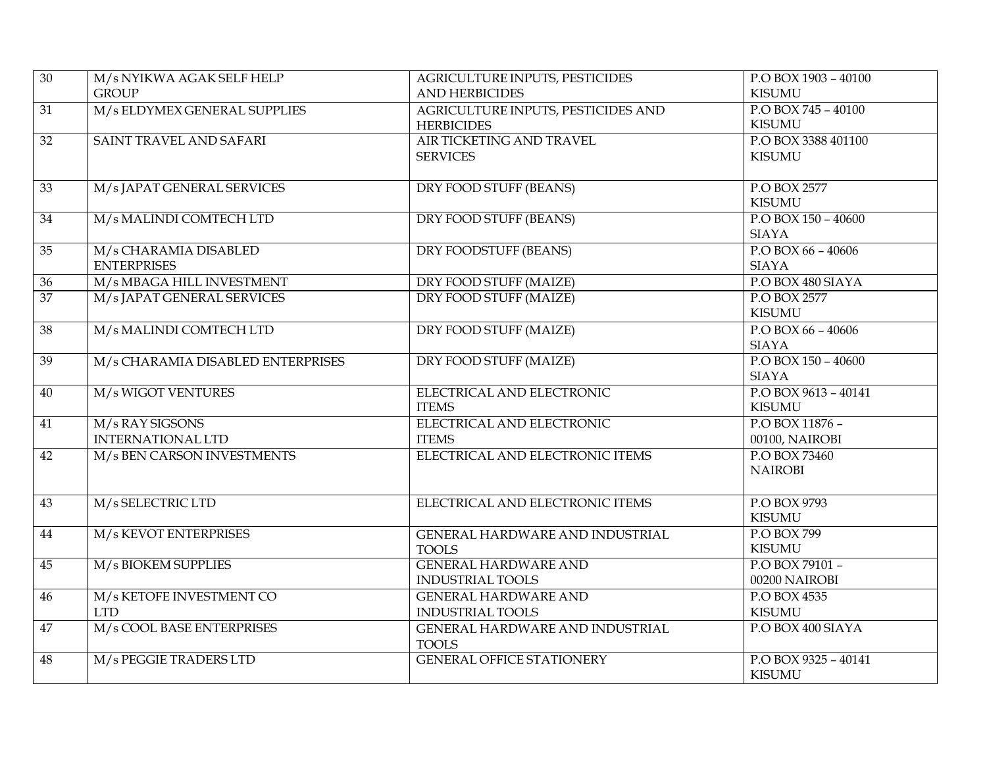| $\overline{30}$ | M/s NYIKWA AGAK SELF HELP         | AGRICULTURE INPUTS, PESTICIDES     | P.O BOX 1903 - 40100 |
|-----------------|-----------------------------------|------------------------------------|----------------------|
|                 | <b>GROUP</b>                      | <b>AND HERBICIDES</b>              | <b>KISUMU</b>        |
| 31              | M/s ELDYMEX GENERAL SUPPLIES      | AGRICULTURE INPUTS, PESTICIDES AND | P.O BOX 745 - 40100  |
|                 |                                   | <b>HERBICIDES</b>                  | <b>KISUMU</b>        |
| 32              | SAINT TRAVEL AND SAFARI           | AIR TICKETING AND TRAVEL           | P.O BOX 3388 401100  |
|                 |                                   | <b>SERVICES</b>                    | <b>KISUMU</b>        |
|                 |                                   |                                    |                      |
| 33              | M/s JAPAT GENERAL SERVICES        | DRY FOOD STUFF (BEANS)             | P.O BOX 2577         |
|                 |                                   |                                    | <b>KISUMU</b>        |
| 34              | M/s MALINDI COMTECH LTD           | DRY FOOD STUFF (BEANS)             | P.O BOX 150 - 40600  |
|                 |                                   |                                    | <b>SIAYA</b>         |
| 35              | M/s CHARAMIA DISABLED             | <b>DRY FOODSTUFF (BEANS)</b>       | P.O BOX 66 - 40606   |
|                 | <b>ENTERPRISES</b>                |                                    | <b>SIAYA</b>         |
| $\overline{36}$ | M/s MBAGA HILL INVESTMENT         | DRY FOOD STUFF (MAIZE)             | P.O BOX 480 SIAYA    |
| 37              | M/s JAPAT GENERAL SERVICES        | DRY FOOD STUFF (MAIZE)             | P.O BOX 2577         |
|                 |                                   |                                    | <b>KISUMU</b>        |
| 38              | M/s MALINDI COMTECH LTD           | DRY FOOD STUFF (MAIZE)             | P.O BOX 66 - 40606   |
|                 |                                   |                                    | <b>SIAYA</b>         |
| 39              | M/s CHARAMIA DISABLED ENTERPRISES | <b>DRY FOOD STUFF (MAIZE)</b>      | P.O BOX 150 - 40600  |
|                 |                                   |                                    | <b>SIAYA</b>         |
| 40              | M/s WIGOT VENTURES                | ELECTRICAL AND ELECTRONIC          | P.O BOX 9613 - 40141 |
|                 |                                   | <b>ITEMS</b>                       | <b>KISUMU</b>        |
| $\overline{41}$ | M/s RAY SIGSONS                   | ELECTRICAL AND ELECTRONIC          | P.O BOX 11876 -      |
|                 | <b>INTERNATIONAL LTD</b>          | <b>ITEMS</b>                       | 00100, NAIROBI       |
| $\overline{42}$ | M/s BEN CARSON INVESTMENTS        | ELECTRICAL AND ELECTRONIC ITEMS    | P.O BOX 73460        |
|                 |                                   |                                    | <b>NAIROBI</b>       |
|                 |                                   |                                    |                      |
| 43              | M/s SELECTRIC LTD                 | ELECTRICAL AND ELECTRONIC ITEMS    | P.O BOX 9793         |
|                 |                                   |                                    | <b>KISUMU</b>        |
| 44              | M/s KEVOT ENTERPRISES             | GENERAL HARDWARE AND INDUSTRIAL    | P.O BOX 799          |
|                 |                                   | <b>TOOLS</b>                       | <b>KISUMU</b>        |
| 45              | M/s BIOKEM SUPPLIES               | <b>GENERAL HARDWARE AND</b>        | P.O BOX 79101 -      |
|                 |                                   | <b>INDUSTRIAL TOOLS</b>            | 00200 NAIROBI        |
| $\overline{46}$ | M/s KETOFE INVESTMENT CO          | <b>GENERAL HARDWARE AND</b>        | P.O BOX 4535         |
|                 | <b>LTD</b>                        | <b>INDUSTRIAL TOOLS</b>            | <b>KISUMU</b>        |
| 47              | M/s COOL BASE ENTERPRISES         | GENERAL HARDWARE AND INDUSTRIAL    | P.O BOX 400 SIAYA    |
|                 |                                   | <b>TOOLS</b>                       |                      |
| 48              | M/s PEGGIE TRADERS LTD            | <b>GENERAL OFFICE STATIONERY</b>   | P.O BOX 9325 - 40141 |
|                 |                                   |                                    | <b>KISUMU</b>        |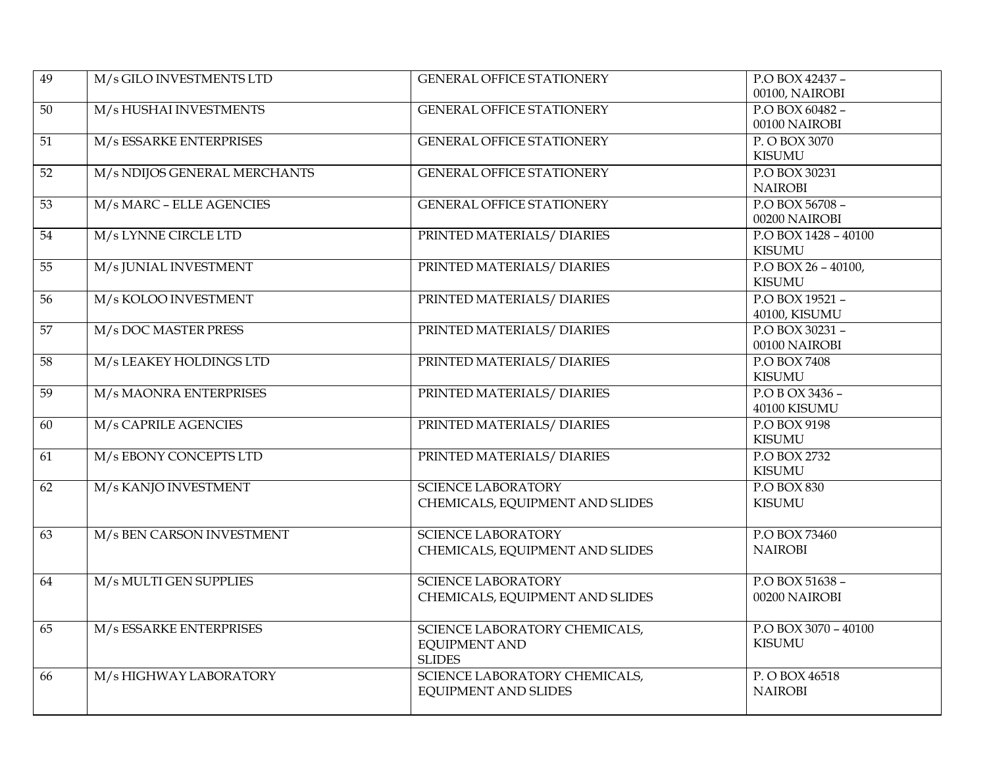| $\overline{49}$ | M/s GILO INVESTMENTS LTD     | <b>GENERAL OFFICE STATIONERY</b>                                       | P.O BOX 42437 -<br>00100, NAIROBI     |
|-----------------|------------------------------|------------------------------------------------------------------------|---------------------------------------|
| 50              | M/s HUSHAI INVESTMENTS       | <b>GENERAL OFFICE STATIONERY</b>                                       | P.O BOX 60482 -<br>00100 NAIROBI      |
| 51              | M/s ESSARKE ENTERPRISES      | <b>GENERAL OFFICE STATIONERY</b>                                       | P. O BOX 3070<br><b>KISUMU</b>        |
| 52              | M/s NDIJOS GENERAL MERCHANTS | <b>GENERAL OFFICE STATIONERY</b>                                       | P.O BOX 30231<br><b>NAIROBI</b>       |
| 53              | M/s MARC - ELLE AGENCIES     | <b>GENERAL OFFICE STATIONERY</b>                                       | P.O BOX 56708 -<br>00200 NAIROBI      |
| 54              | M/s LYNNE CIRCLE LTD         | PRINTED MATERIALS/ DIARIES                                             | P.O BOX 1428 - 40100<br><b>KISUMU</b> |
| $\overline{55}$ | M/s JUNIAL INVESTMENT        | PRINTED MATERIALS/ DIARIES                                             | P.O BOX 26 - 40100,<br><b>KISUMU</b>  |
| 56              | M/s KOLOO INVESTMENT         | PRINTED MATERIALS/ DIARIES                                             | P.O BOX 19521 -<br>40100, KISUMU      |
| 57              | M/s DOC MASTER PRESS         | PRINTED MATERIALS/ DIARIES                                             | P.O BOX 30231 -<br>00100 NAIROBI      |
| 58              | M/s LEAKEY HOLDINGS LTD      | PRINTED MATERIALS/ DIARIES                                             | P.O BOX 7408<br><b>KISUMU</b>         |
| 59              | M/s MAONRA ENTERPRISES       | PRINTED MATERIALS/ DIARIES                                             | P.O B OX 3436 -<br>40100 KISUMU       |
| 60              | M/s CAPRILE AGENCIES         | PRINTED MATERIALS/ DIARIES                                             | P.O BOX 9198<br><b>KISUMU</b>         |
| $\overline{61}$ | M/s EBONY CONCEPTS LTD       | PRINTED MATERIALS/ DIARIES                                             | P.O BOX 2732<br><b>KISUMU</b>         |
| 62              | M/s KANJO INVESTMENT         | <b>SCIENCE LABORATORY</b><br>CHEMICALS, EQUIPMENT AND SLIDES           | P.O BOX 830<br><b>KISUMU</b>          |
| 63              | M/s BEN CARSON INVESTMENT    | <b>SCIENCE LABORATORY</b><br>CHEMICALS, EQUIPMENT AND SLIDES           | P.O BOX 73460<br><b>NAIROBI</b>       |
| 64              | M/s MULTI GEN SUPPLIES       | <b>SCIENCE LABORATORY</b><br>CHEMICALS, EQUIPMENT AND SLIDES           | P.O BOX 51638 -<br>00200 NAIROBI      |
| 65              | M/s ESSARKE ENTERPRISES      | SCIENCE LABORATORY CHEMICALS,<br><b>EQUIPMENT AND</b><br><b>SLIDES</b> | P.O BOX 3070 - 40100<br><b>KISUMU</b> |
| 66              | M/s HIGHWAY LABORATORY       | SCIENCE LABORATORY CHEMICALS,<br><b>EQUIPMENT AND SLIDES</b>           | P. O BOX 46518<br><b>NAIROBI</b>      |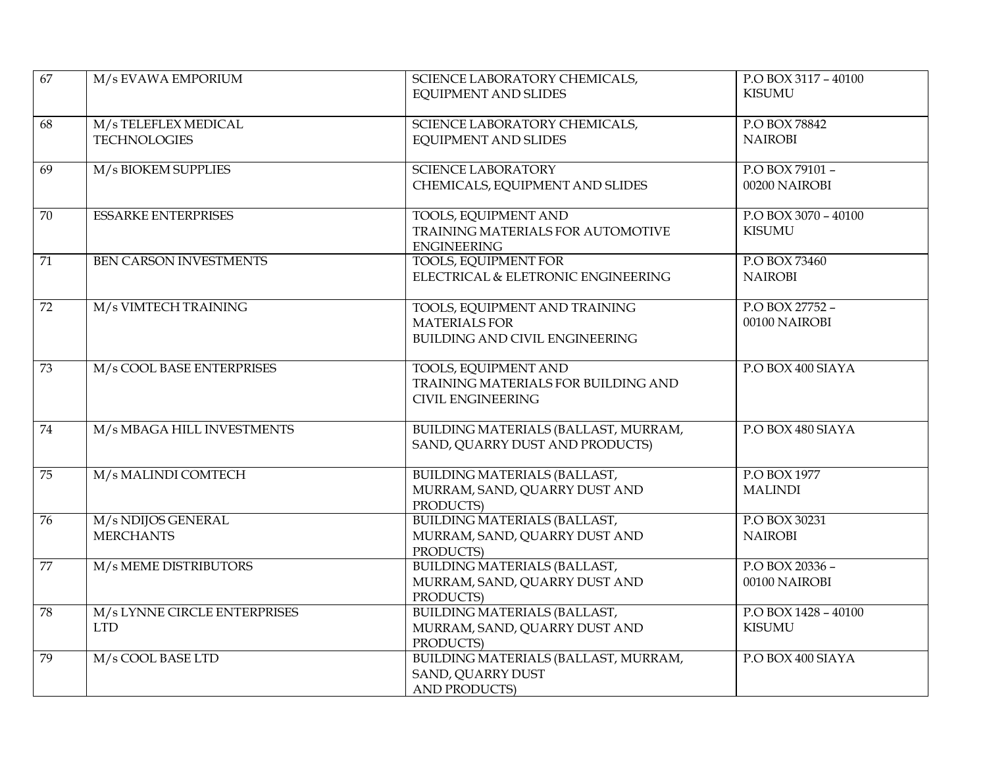| 67              | M/s EVAWA EMPORIUM                                          | SCIENCE LABORATORY CHEMICALS,<br><b>EQUIPMENT AND SLIDES</b>                                   | P.O BOX 3117 - 40100<br><b>KISUMU</b> |
|-----------------|-------------------------------------------------------------|------------------------------------------------------------------------------------------------|---------------------------------------|
| 68              | M/s TELEFLEX MEDICAL<br><b>TECHNOLOGIES</b>                 | SCIENCE LABORATORY CHEMICALS,<br><b>EQUIPMENT AND SLIDES</b>                                   | P.O BOX 78842<br><b>NAIROBI</b>       |
| $\overline{69}$ | M/s BIOKEM SUPPLIES                                         | <b>SCIENCE LABORATORY</b><br>CHEMICALS, EQUIPMENT AND SLIDES                                   | P.O BOX 79101 -<br>00200 NAIROBI      |
| 70              | <b>ESSARKE ENTERPRISES</b>                                  | <b>TOOLS, EQUIPMENT AND</b><br>TRAINING MATERIALS FOR AUTOMOTIVE<br><b>ENGINEERING</b>         | P.O BOX 3070 - 40100<br><b>KISUMU</b> |
| 71              | BEN CARSON INVESTMENTS                                      | <b>TOOLS, EQUIPMENT FOR</b><br>ELECTRICAL & ELETRONIC ENGINEERING                              | P.O BOX 73460<br><b>NAIROBI</b>       |
| $\overline{72}$ | M/s VIMTECH TRAINING                                        | TOOLS, EQUIPMENT AND TRAINING<br><b>MATERIALS FOR</b><br>BUILDING AND CIVIL ENGINEERING        | P.O BOX 27752 -<br>00100 NAIROBI      |
| 73              | M/s COOL BASE ENTERPRISES                                   | <b>TOOLS, EQUIPMENT AND</b><br>TRAINING MATERIALS FOR BUILDING AND<br><b>CIVIL ENGINEERING</b> | P.O BOX 400 SIAYA                     |
| 74              | M/s MBAGA HILL INVESTMENTS                                  | BUILDING MATERIALS (BALLAST, MURRAM,<br>SAND, QUARRY DUST AND PRODUCTS)                        | P.O BOX 480 SIAYA                     |
| 75              | M/s MALINDI COMTECH                                         | BUILDING MATERIALS (BALLAST,<br>MURRAM, SAND, QUARRY DUST AND<br>PRODUCTS)                     | P.O BOX 1977<br><b>MALINDI</b>        |
| 76              | M/s NDIJOS GENERAL<br><b>MERCHANTS</b>                      | <b>BUILDING MATERIALS (BALLAST,</b><br>MURRAM, SAND, QUARRY DUST AND<br>PRODUCTS)              | P.O BOX 30231<br><b>NAIROBI</b>       |
| 77              | M/s MEME DISTRIBUTORS                                       | <b>BUILDING MATERIALS (BALLAST,</b><br>MURRAM, SAND, QUARRY DUST AND<br>PRODUCTS)              | P.O BOX 20336 -<br>00100 NAIROBI      |
| 78              | M/s LYNNE CIRCLE ENTERPRISES<br>$\ensuremath{\mathrm{LTD}}$ | <b>BUILDING MATERIALS (BALLAST,</b><br>MURRAM, SAND, QUARRY DUST AND<br>PRODUCTS)              | P.O BOX 1428 - 40100<br><b>KISUMU</b> |
| 79              | M/s COOL BASE LTD                                           | BUILDING MATERIALS (BALLAST, MURRAM,<br>SAND, QUARRY DUST<br><b>AND PRODUCTS)</b>              | P.O BOX 400 SIAYA                     |